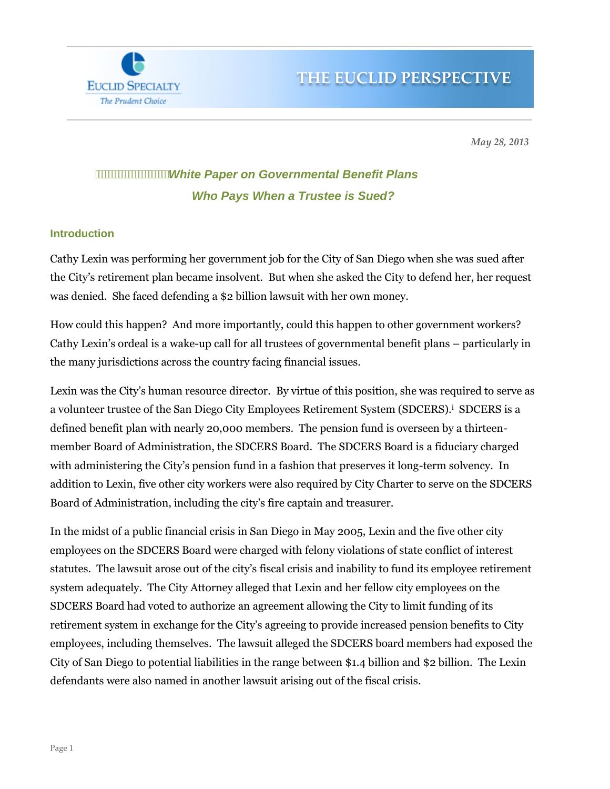

*May 28, 2013*

# *White Paper on Governmental Benefit Plans Who Pays When a Trustee is Sued?*

#### **Introduction**

**EUCLID SPECIALTY** The Prudent Choice

Cathy Lexin was performing her government job for the City of San Diego when she was sued after the City's retirement plan became insolvent. But when she asked the City to defend her, her request was denied. She faced defending a \$2 billion lawsuit with her own money.

How could this happen? And more importantly, could this happen to other government workers? Cathy Lexin's ordeal is a wake-up call for all trustees of governmental benefit plans – particularly in the many jurisdictions across the country facing financial issues.

Lexin was the City's human resource director. By virtue of this position, she was required to serve as a volunteer trustee of the San Diego City Employees Retirement System (SDCERS).<sup>i</sup> SDCERS is a defined benefit plan with nearly 20,000 members. The pension fund is overseen by a thirteenmember Board of Administration, the SDCERS Board. The SDCERS Board is a fiduciary charged with administering the City's pension fund in a fashion that preserves it long-term solvency. In addition to Lexin, five other city workers were also required by City Charter to serve on the SDCERS Board of Administration, including the city's fire captain and treasurer.

In the midst of a public financial crisis in San Diego in May 2005, Lexin and the five other city employees on the SDCERS Board were charged with felony violations of state conflict of interest statutes. The lawsuit arose out of the city's fiscal crisis and inability to fund its employee retirement system adequately. The City Attorney alleged that Lexin and her fellow city employees on the SDCERS Board had voted to authorize an agreement allowing the City to limit funding of its retirement system in exchange for the City's agreeing to provide increased pension benefits to City employees, including themselves. The lawsuit alleged the SDCERS board members had exposed the City of San Diego to potential liabilities in the range between \$1.4 billion and \$2 billion. The Lexin defendants were also named in another lawsuit arising out of the fiscal crisis.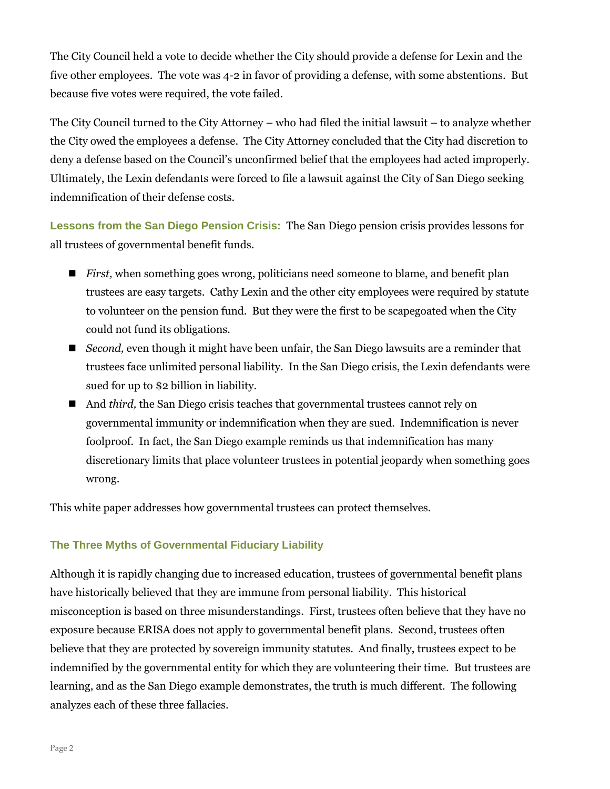The City Council held a vote to decide whether the City should provide a defense for Lexin and the five other employees. The vote was 4-2 in favor of providing a defense, with some abstentions. But because five votes were required, the vote failed.

The City Council turned to the City Attorney – who had filed the initial lawsuit – to analyze whether the City owed the employees a defense. The City Attorney concluded that the City had discretion to deny a defense based on the Council's unconfirmed belief that the employees had acted improperly. Ultimately, the Lexin defendants were forced to file a lawsuit against the City of San Diego seeking indemnification of their defense costs.

**Lessons from the San Diego Pension Crisis:** The San Diego pension crisis provides lessons for all trustees of governmental benefit funds.

- *First*, when something goes wrong, politicians need someone to blame, and benefit plan trustees are easy targets. Cathy Lexin and the other city employees were required by statute to volunteer on the pension fund. But they were the first to be scapegoated when the City could not fund its obligations.
- *Second,* even though it might have been unfair, the San Diego lawsuits are a reminder that trustees face unlimited personal liability. In the San Diego crisis, the Lexin defendants were sued for up to \$2 billion in liability.
- And *third,* the San Diego crisis teaches that governmental trustees cannot rely on governmental immunity or indemnification when they are sued. Indemnification is never foolproof. In fact, the San Diego example reminds us that indemnification has many discretionary limits that place volunteer trustees in potential jeopardy when something goes wrong.

This white paper addresses how governmental trustees can protect themselves.

### **The Three Myths of Governmental Fiduciary Liability**

Although it is rapidly changing due to increased education, trustees of governmental benefit plans have historically believed that they are immune from personal liability. This historical misconception is based on three misunderstandings. First, trustees often believe that they have no exposure because ERISA does not apply to governmental benefit plans. Second, trustees often believe that they are protected by sovereign immunity statutes. And finally, trustees expect to be indemnified by the governmental entity for which they are volunteering their time. But trustees are learning, and as the San Diego example demonstrates, the truth is much different. The following analyzes each of these three fallacies.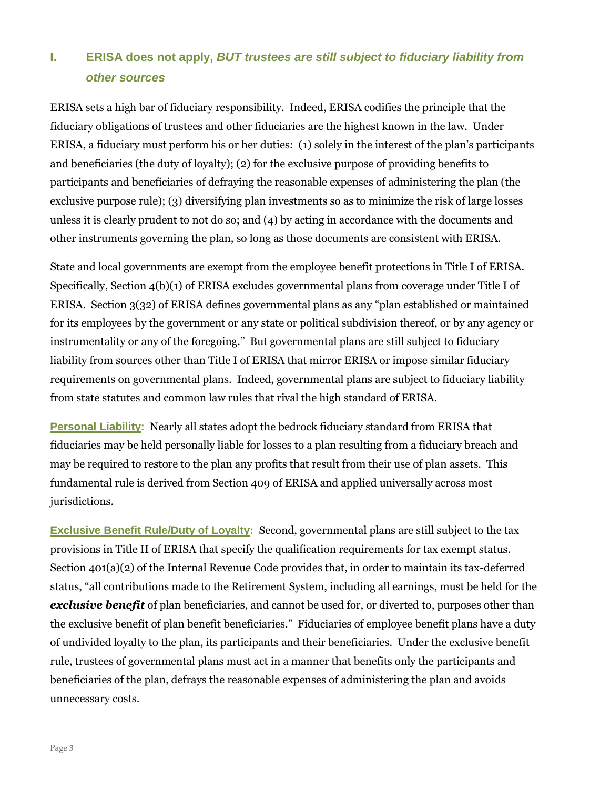# **I. ERISA does not apply,** *BUT trustees are still subject to fiduciary liability from other sources*

ERISA sets a high bar of fiduciary responsibility. Indeed, ERISA codifies the principle that the fiduciary obligations of trustees and other fiduciaries are the highest known in the law. Under ERISA, a fiduciary must perform his or her duties: (1) solely in the interest of the plan's participants and beneficiaries (the duty of loyalty); (2) for the exclusive purpose of providing benefits to participants and beneficiaries of defraying the reasonable expenses of administering the plan (the exclusive purpose rule); (3) diversifying plan investments so as to minimize the risk of large losses unless it is clearly prudent to not do so; and (4) by acting in accordance with the documents and other instruments governing the plan, so long as those documents are consistent with ERISA.

State and local governments are exempt from the employee benefit protections in Title I of ERISA. Specifically, Section 4(b)(1) of ERISA excludes governmental plans from coverage under Title I of ERISA. Section 3(32) of ERISA defines governmental plans as any "plan established or maintained for its employees by the government or any state or political subdivision thereof, or by any agency or instrumentality or any of the foregoing." But governmental plans are still subject to fiduciary liability from sources other than Title I of ERISA that mirror ERISA or impose similar fiduciary requirements on governmental plans. Indeed, governmental plans are subject to fiduciary liability from state statutes and common law rules that rival the high standard of ERISA.

**Personal Liability:** Nearly all states adopt the bedrock fiduciary standard from ERISA that fiduciaries may be held personally liable for losses to a plan resulting from a fiduciary breach and may be required to restore to the plan any profits that result from their use of plan assets. This fundamental rule is derived from Section 409 of ERISA and applied universally across most jurisdictions.

**Exclusive Benefit Rule/Duty of Loyalty:** Second, governmental plans are still subject to the tax provisions in Title II of ERISA that specify the qualification requirements for tax exempt status. Section 401(a)(2) of the Internal Revenue Code provides that, in order to maintain its tax-deferred status, "all contributions made to the Retirement System, including all earnings, must be held for the *exclusive benefit* of plan beneficiaries, and cannot be used for, or diverted to, purposes other than the exclusive benefit of plan benefit beneficiaries." Fiduciaries of employee benefit plans have a duty of undivided loyalty to the plan, its participants and their beneficiaries. Under the exclusive benefit rule, trustees of governmental plans must act in a manner that benefits only the participants and beneficiaries of the plan, defrays the reasonable expenses of administering the plan and avoids unnecessary costs.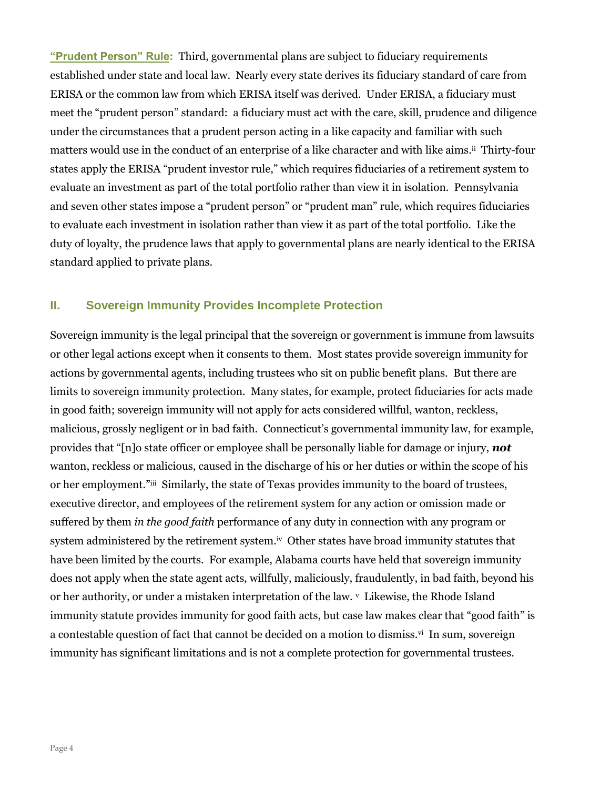**"Prudent Person" Rule:** Third, governmental plans are subject to fiduciary requirements established under state and local law. Nearly every state derives its fiduciary standard of care from ERISA or the common law from which ERISA itself was derived. Under ERISA, a fiduciary must meet the "prudent person" standard: a fiduciary must act with the care, skill, prudence and diligence under the circumstances that a prudent person acting in a like capacity and familiar with such matters would use in the conduct of an enterprise of a like character and with like aims.ii Thirty-four states apply the ERISA "prudent investor rule," which requires fiduciaries of a retirement system to evaluate an investment as part of the total portfolio rather than view it in isolation. Pennsylvania and seven other states impose a "prudent person" or "prudent man" rule, which requires fiduciaries to evaluate each investment in isolation rather than view it as part of the total portfolio. Like the duty of loyalty, the prudence laws that apply to governmental plans are nearly identical to the ERISA standard applied to private plans.

### **II. Sovereign Immunity Provides Incomplete Protection**

Sovereign immunity is the legal principal that the sovereign or government is immune from lawsuits or other legal actions except when it consents to them. Most states provide sovereign immunity for actions by governmental agents, including trustees who sit on public benefit plans. But there are limits to sovereign immunity protection. Many states, for example, protect fiduciaries for acts made in good faith; sovereign immunity will not apply for acts considered willful, wanton, reckless, malicious, grossly negligent or in bad faith. Connecticut's governmental immunity law, for example, provides that "[n]o state officer or employee shall be personally liable for damage or injury, *not* wanton, reckless or malicious, caused in the discharge of his or her duties or within the scope of his or her employment."iii Similarly, the state of Texas provides immunity to the board of trustees, executive director, and employees of the retirement system for any action or omission made or suffered by them *in the good faith* performance of any duty in connection with any program or system administered by the retirement system.<sup>iv</sup> Other states have broad immunity statutes that have been limited by the courts. For example, Alabama courts have held that sovereign immunity does not apply when the state agent acts, willfully, maliciously, fraudulently, in bad faith, beyond his or her authority, or under a mistaken interpretation of the law. V Likewise, the Rhode Island immunity statute provides immunity for good faith acts, but case law makes clear that "good faith" is a contestable question of fact that cannot be decided on a motion to dismiss.<sup>vi</sup> In sum, sovereign immunity has significant limitations and is not a complete protection for governmental trustees.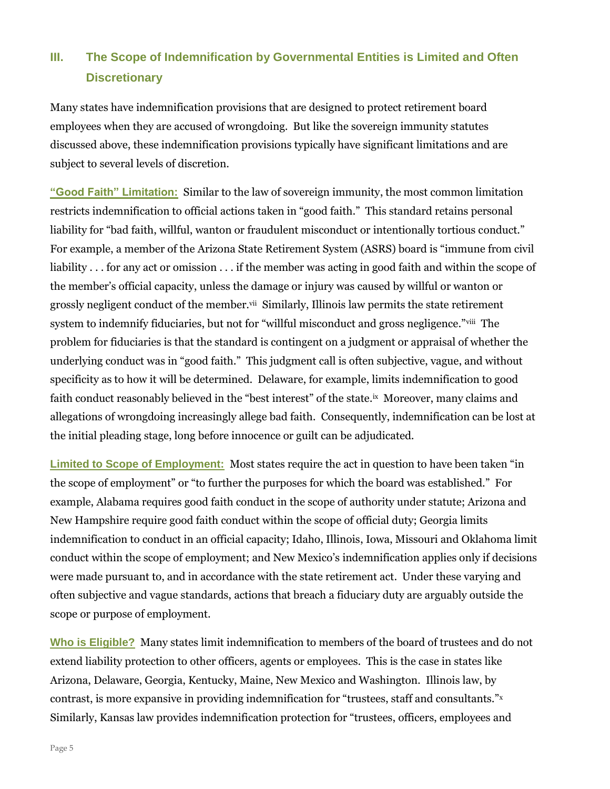# **III.** The Scope of Indemnification by Governmental Entities is Limited and Often **Discretionary**

Many states have indemnification provisions that are designed to protect retirement board employees when they are accused of wrongdoing. But like the sovereign immunity statutes discussed above, these indemnification provisions typically have significant limitations and are subject to several levels of discretion.

**"Good Faith" Limitation:** Similar to the law of sovereign immunity, the most common limitation restricts indemnification to official actions taken in "good faith." This standard retains personal liability for "bad faith, willful, wanton or fraudulent misconduct or intentionally tortious conduct." For example, a member of the Arizona State Retirement System (ASRS) board is "immune from civil liability . . . for any act or omission . . . if the member was acting in good faith and within the scope of the member's official capacity, unless the damage or injury was caused by willful or wanton or grossly negligent conduct of the member.<sup>vii</sup> Similarly, Illinois law permits the state retirement system to indemnify fiduciaries, but not for "willful misconduct and gross negligence."viii The problem for fiduciaries is that the standard is contingent on a judgment or appraisal of whether the underlying conduct was in "good faith." This judgment call is often subjective, vague, and without specificity as to how it will be determined. Delaware, for example, limits indemnification to good faith conduct reasonably believed in the "best interest" of the state.<sup>ix</sup> Moreover, many claims and allegations of wrongdoing increasingly allege bad faith. Consequently, indemnification can be lost at the initial pleading stage, long before innocence or guilt can be adjudicated.

**Limited to Scope of Employment:** Most states require the act in question to have been taken "in the scope of employment" or "to further the purposes for which the board was established." For example, Alabama requires good faith conduct in the scope of authority under statute; Arizona and New Hampshire require good faith conduct within the scope of official duty; Georgia limits indemnification to conduct in an official capacity; Idaho, Illinois, Iowa, Missouri and Oklahoma limit conduct within the scope of employment; and New Mexico's indemnification applies only if decisions were made pursuant to, and in accordance with the state retirement act. Under these varying and often subjective and vague standards, actions that breach a fiduciary duty are arguably outside the scope or purpose of employment.

**Who is Eligible?** Many states limit indemnification to members of the board of trustees and do not extend liability protection to other officers, agents or employees. This is the case in states like Arizona, Delaware, Georgia, Kentucky, Maine, New Mexico and Washington. Illinois law, by contrast, is more expansive in providing indemnification for "trustees, staff and consultants."<sup>x</sup> Similarly, Kansas law provides indemnification protection for "trustees, officers, employees and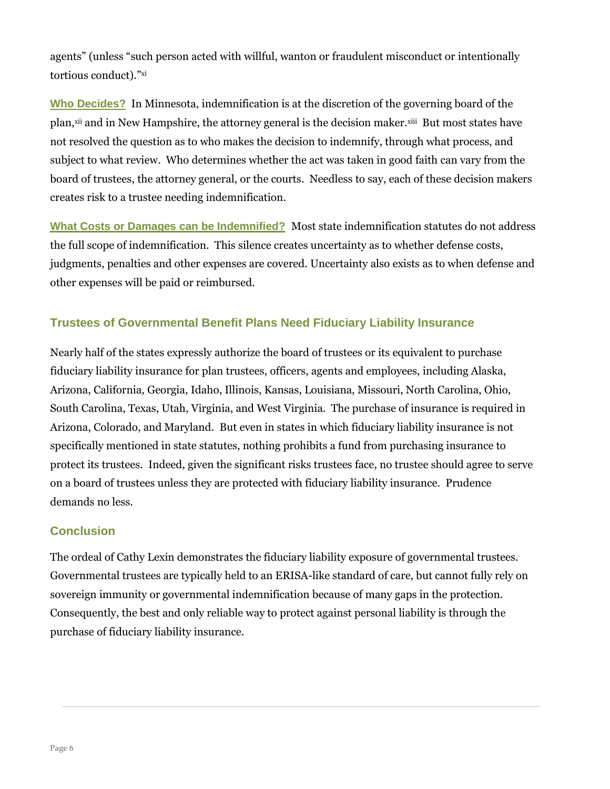agents" (unless "such person acted with willful, wanton or fraudulent misconduct or intentionally tortious conduct)."xi

**Who Decides?** In Minnesota, indemnification is at the discretion of the governing board of the plan,<sup>xii</sup> and in New Hampshire, the attorney general is the decision maker.<sup>xiii</sup> But most states have not resolved the question as to who makes the decision to indemnify, through what process, and subject to what review. Who determines whether the act was taken in good faith can vary from the board of trustees, the attorney general, or the courts. Needless to say, each of these decision makers creates risk to a trustee needing indemnification.

**What Costs or Damages can be Indemnified?** Most state indemnification statutes do not address the full scope of indemnification. This silence creates uncertainty as to whether defense costs, judgments, penalties and other expenses are covered. Uncertainty also exists as to when defense and other expenses will be paid or reimbursed.

## **Trustees of Governmental Benefit Plans Need Fiduciary Liability Insurance**

Nearly half of the states expressly authorize the board of trustees or its equivalent to purchase fiduciary liability insurance for plan trustees, officers, agents and employees, including Alaska, Arizona, California, Georgia, Idaho, Illinois, Kansas, Louisiana, Missouri, North Carolina, Ohio, South Carolina, Texas, Utah, Virginia, and West Virginia. The purchase of insurance is required in Arizona, Colorado, and Maryland. But even in states in which fiduciary liability insurance is not specifically mentioned in state statutes, nothing prohibits a fund from purchasing insurance to protect its trustees. Indeed, given the significant risks trustees face, no trustee should agree to serve on a board of trustees unless they are protected with fiduciary liability insurance. Prudence demands no less.

### **Conclusion**

The ordeal of Cathy Lexin demonstrates the fiduciary liability exposure of governmental trustees. Governmental trustees are typically held to an ERISA-like standard of care, but cannot fully rely on sovereign immunity or governmental indemnification because of many gaps in the protection. Consequently, the best and only reliable way to protect against personal liability is through the purchase of fiduciary liability insurance.